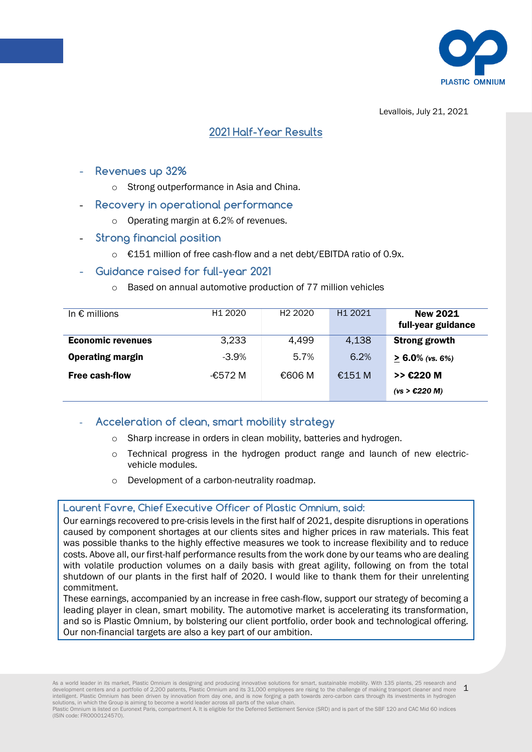

Levallois, July 21, 2021

# **2021 Half-Year Results**

- **Revenues up 32%**
	- o Strong outperformance in Asia and China.
- **Recovery in operational performance**
	- o Operating margin at 6.2% of revenues.
- **Strong financial position**
	- o €151 million of free cash-flow and a net debt/EBITDA ratio of 0.9x.
- **Guidance raised for full-year 2021** 
	- o Based on annual automotive production of 77 million vehicles

| In $\epsilon$ millions   | H <sub>1</sub> 2020 | H <sub>2</sub> 2020 | H <sub>1</sub> 2021 | <b>New 2021</b>      |
|--------------------------|---------------------|---------------------|---------------------|----------------------|
|                          |                     |                     |                     | full-year guidance   |
| <b>Economic revenues</b> | 3,233               | 4,499               | 4,138               | <b>Strong growth</b> |
| <b>Operating margin</b>  | $-3.9%$             | 5.7%                | 6.2%                | $> 6.0\%$ (vs. 6%)   |
| <b>Free cash-flow</b>    | -€572 M             | €606 M              | €151 M              | >> E220 M            |
|                          |                     |                     |                     | (vs > £220 M)        |

- **Acceleration of clean, smart mobility strategy**
	- o Sharp increase in orders in clean mobility, batteries and hydrogen.
	- Technical progress in the hydrogen product range and launch of new electricvehicle modules.
	- o Development of a carbon-neutrality roadmap.

### **Laurent Favre, Chief Executive Officer of Plastic Omnium, said:**

Our earnings recovered to pre-crisis levels in the first half of 2021, despite disruptions in operations caused by component shortages at our clients sites and higher prices in raw materials. This feat was possible thanks to the highly effective measures we took to increase flexibility and to reduce costs. Above all, our first-half performance results from the work done by our teams who are dealing with volatile production volumes on a daily basis with great agility, following on from the total shutdown of our plants in the first half of 2020. I would like to thank them for their unrelenting commitment.

These earnings, accompanied by an increase in free cash-flow, support our strategy of becoming a leading player in clean, smart mobility. The automotive market is accelerating its transformation, and so is Plastic Omnium, by bolstering our client portfolio, order book and technological offering. Our non-financial targets are also a key part of our ambition.

1 As a world leader in its market, Plastic Omnium is designing and producing innovative solutions for smart, sustainable mobility. With 135 plants, 25 research and<br>development centers and a portfolio of 2,200 patents, Plasti intelligent. Plastic Omnium has been driven by innovation from day one, and is now forging a path towards zero-carbon cars through its investments in hydrogen<br>solutions, in which the Group is aiming to become a world leade

Plastic Omnium is listed on Euronext Paris, compartment A. It is eligible for the Deferred Settlement Service (SRD) and is part of the SBF 120 and CAC Mid 60 indices (ISIN code: FR0000124570).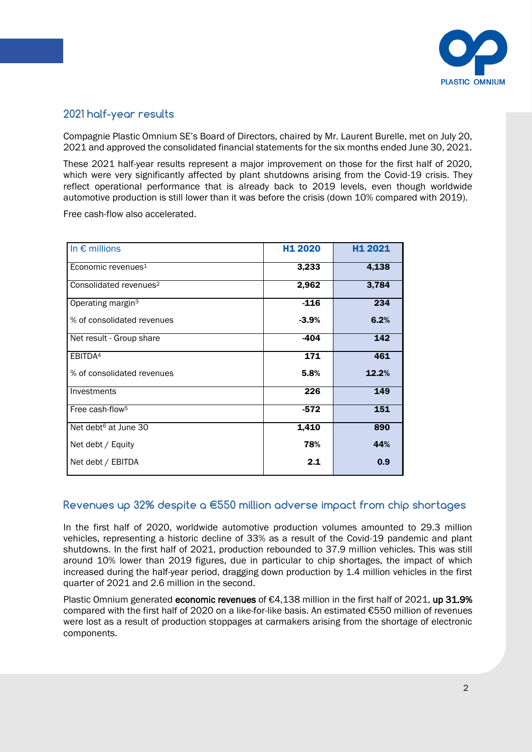

# **2021 half-year results**

Compagnie Plastic Omnium SE's Board of Directors, chaired by Mr. Laurent Burelle, met on July 20, 2021 and approved the consolidated financial statements for the six months ended June 30, 2021.

These 2021 half-year results represent a major improvement on those for the first half of 2020, which were very significantly affected by plant shutdowns arising from the Covid-19 crisis. They reflect operational performance that is already back to 2019 levels, even though worldwide automotive production is still lower than it was before the crisis (down 10% compared with 2019).

Free cash-flow also accelerated.

| In $\epsilon$ millions             | H <sub>1</sub> 2020 | H1 2021 |
|------------------------------------|---------------------|---------|
| Economic revenues <sup>1</sup>     | 3,233               | 4,138   |
| Consolidated revenues <sup>2</sup> | 2,962               | 3,784   |
| Operating margin <sup>3</sup>      | $-116$              | 234     |
| % of consolidated revenues         | $-3.9%$             | 6.2%    |
| Net result - Group share           | $-404$              | 142     |
| EBITDA <sup>4</sup>                | 171                 | 461     |
| % of consolidated revenues         | 5.8%                | 12.2%   |
| Investments                        | 226                 | 149     |
| Free cash-flow <sup>5</sup>        | $-572$              | 151     |
| Net debt <sup>6</sup> at June 30   | 1,410               | 890     |
| Net debt / Equity                  | 78%                 | 44%     |
| Net debt / EBITDA                  | 2.1                 | 0.9     |

# **Revenues up 32% despite a €550 million adverse impact from chip shortages**

In the first half of 2020, worldwide automotive production volumes amounted to 29.3 million vehicles, representing a historic decline of 33% as a result of the Covid-19 pandemic and plant shutdowns. In the first half of 2021, production rebounded to 37.9 million vehicles. This was still around 10% lower than 2019 figures, due in particular to chip shortages, the impact of which increased during the half-year period, dragging down production by 1.4 million vehicles in the first quarter of 2021 and 2.6 million in the second.

Plastic Omnium generated economic revenues of  $E4,138$  million in the first half of 2021, up 31.9% compared with the first half of 2020 on a like-for-like basis. An estimated €550 million of revenues were lost as a result of production stoppages at carmakers arising from the shortage of electronic components.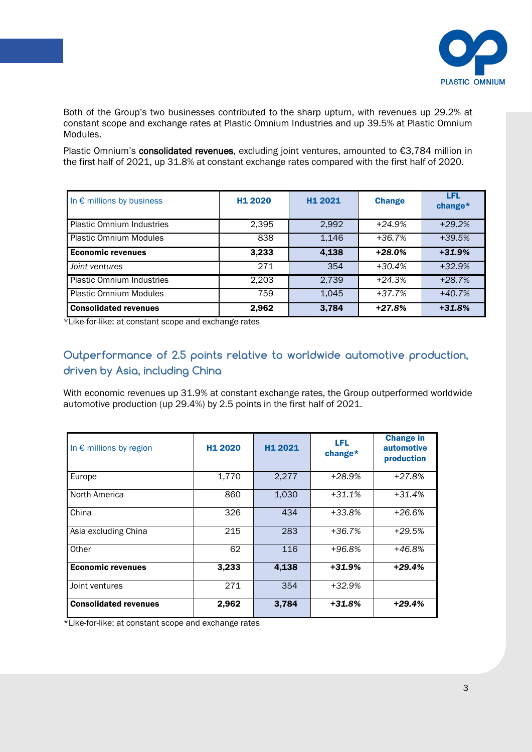

Both of the Group's two businesses contributed to the sharp upturn, with revenues up 29.2% at constant scope and exchange rates at Plastic Omnium Industries and up 39.5% at Plastic Omnium Modules.

Plastic Omnium's consolidated revenues, excluding joint ventures, amounted to €3,784 million in the first half of 2021, up 31.8% at constant exchange rates compared with the first half of 2020.

| In $\epsilon$ millions by business | H <sub>1</sub> 2020 | H <sub>1</sub> 2021 | <b>Change</b> | LFL<br>change* |
|------------------------------------|---------------------|---------------------|---------------|----------------|
| <b>Plastic Omnium Industries</b>   | 2,395               | 2,992               | $+24.9%$      | $+29.2%$       |
| <b>Plastic Omnium Modules</b>      | 838                 | 1,146               | +36.7%        | $+39.5%$       |
| <b>Economic revenues</b>           | 3,233               | 4,138               | $+28.0%$      | $+31.9%$       |
| Joint ventures                     | 271                 | 354                 | $+30.4%$      | $+32.9%$       |
| <b>Plastic Omnium Industries</b>   | 2.203               | 2.739               | $+24.3%$      | $+28.7%$       |
| <b>Plastic Omnium Modules</b>      | 759                 | 1,045               | $+37.7%$      | $+40.7%$       |
| <b>Consolidated revenues</b>       | 2,962               | 3,784               | $+27.8%$      | $+31.8%$       |

\*Like-for-like: at constant scope and exchange rates

# Outperformance of 2.5 points relative to worldwide automotive production, **driven by Asia, including China**

With economic revenues up 31.9% at constant exchange rates, the Group outperformed worldwide automotive production (up 29.4%) by 2.5 points in the first half of 2021.

| In $\epsilon$ millions by region | H <sub>1</sub> 2020 | H <sub>1</sub> 2021 | LFL<br>change* | <b>Change in</b><br><b>automotive</b><br>production |
|----------------------------------|---------------------|---------------------|----------------|-----------------------------------------------------|
| Europe                           | 1,770               | 2,277               | +28.9%         | $+27.8%$                                            |
| North America                    | 860                 | 1,030               | $+31.1%$       | $+31.4%$                                            |
| China                            | 326                 | 434                 | +33.8%         | $+26.6%$                                            |
| Asia excluding China             | 215                 | 283                 | +36.7%         | $+29.5%$                                            |
| Other                            | 62                  | 116                 | $+96.8%$       | $+46.8%$                                            |
| <b>Economic revenues</b>         | 3,233               | 4,138               | $+31.9%$       | $+29.4%$                                            |
| Joint ventures                   | 271                 | 354                 | +32.9%         |                                                     |
| <b>Consolidated revenues</b>     | 2,962               | 3,784               | $+31.8%$       | +29.4%                                              |

\*Like-for-like: at constant scope and exchange rates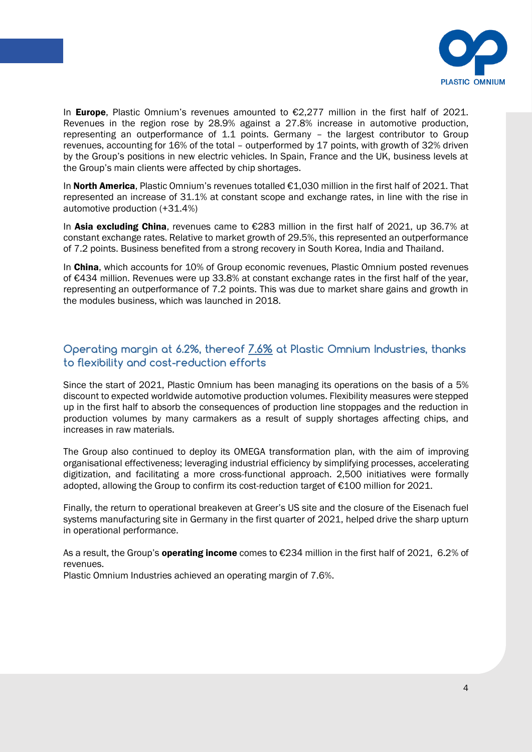

In Europe, Plastic Omnium's revenues amounted to €2,277 million in the first half of 2021. Revenues in the region rose by 28.9% against a 27.8% increase in automotive production, representing an outperformance of 1.1 points. Germany – the largest contributor to Group revenues, accounting for 16% of the total – outperformed by 17 points, with growth of 32% driven by the Group's positions in new electric vehicles. In Spain, France and the UK, business levels at the Group's main clients were affected by chip shortages.

In North America, Plastic Omnium's revenues totalled €1,030 million in the first half of 2021. That represented an increase of 31.1% at constant scope and exchange rates, in line with the rise in automotive production (+31.4%)

In Asia excluding China, revenues came to  $\epsilon$ 283 million in the first half of 2021, up 36.7% at constant exchange rates. Relative to market growth of 29.5%, this represented an outperformance of 7.2 points. Business benefited from a strong recovery in South Korea, India and Thailand.

In China, which accounts for 10% of Group economic revenues, Plastic Omnium posted revenues of €434 million. Revenues were up 33.8% at constant exchange rates in the first half of the year, representing an outperformance of 7.2 points. This was due to market share gains and growth in the modules business, which was launched in 2018.

# to flexibility and cost-reduction efforts  $\blacksquare$ **Operating margin at 6.2%, thereof 7.6% at Plastic Omnium Industries, thanks**

Since the start of 2021, Plastic Omnium has been managing its operations on the basis of a 5% discount to expected worldwide automotive production volumes. Flexibility measures were stepped up in the first half to absorb the consequences of production line stoppages and the reduction in production volumes by many carmakers as a result of supply shortages affecting chips, and increases in raw materials.

The Group also continued to deploy its OMEGA transformation plan, with the aim of improving organisational effectiveness; leveraging industrial efficiency by simplifying processes, accelerating digitization, and facilitating a more cross-functional approach. 2,500 initiatives were formally adopted, allowing the Group to confirm its cost-reduction target of €100 million for 2021.

Finally, the return to operational breakeven at Greer's US site and the closure of the Eisenach fuel systems manufacturing site in Germany in the first quarter of 2021, helped drive the sharp upturn in operational performance.

As a result, the Group's **operating income** comes to  $\epsilon$ 234 million in the first half of 2021, 6.2% of revenues.

Plastic Omnium Industries achieved an operating margin of 7.6%.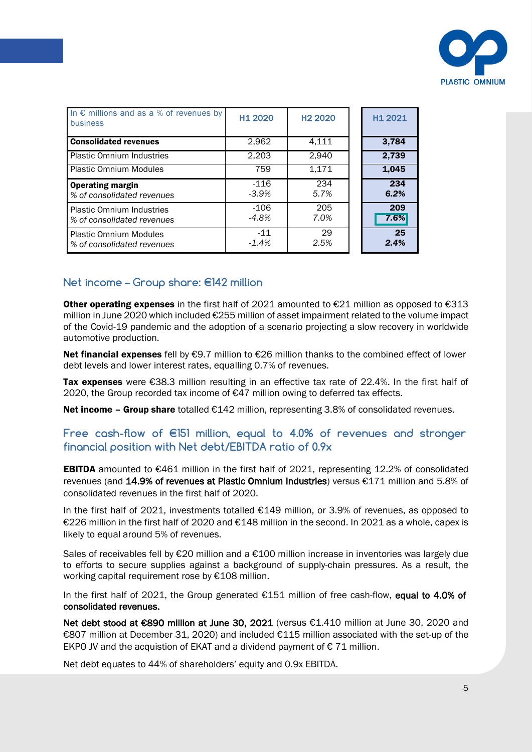

| In $\epsilon$ millions and as a % of revenues by<br>business   | H <sub>1</sub> 2020 | H <sub>2</sub> 2020 | H <sub>1</sub> 2021 |
|----------------------------------------------------------------|---------------------|---------------------|---------------------|
| <b>Consolidated revenues</b>                                   | 2,962               | 4,111               | 3,784               |
| <b>Plastic Omnium Industries</b>                               | 2.203               | 2,940               | 2,739               |
| <b>Plastic Omnium Modules</b>                                  | 759                 | 1,171               | 1,045               |
| <b>Operating margin</b><br>% of consolidated revenues          | -116<br>$-3.9\%$    | 234<br>5.7%         | 234<br>6.2%         |
| <b>Plastic Omnium Industries</b><br>% of consolidated revenues | -106<br>-4.8%       | 205<br>7.0%         | 209<br>7.6%         |
| <b>Plastic Omnium Modules</b><br>% of consolidated revenues    | $-11$<br>$-1.4%$    | 29<br>2.5%          | 25<br>2.4%          |

### **Net income – Group share: €142 million**

Other operating expenses in the first half of 2021 amounted to  $E$ 21 million as opposed to  $E$ 313 million in June 2020 which included €255 million of asset impairment related to the volume impact of the Covid-19 pandemic and the adoption of a scenario projecting a slow recovery in worldwide automotive production.

debt levels and lower interest rates, equalling 0.7% of revenues. Net financial expenses fell by €9.7 million to €26 million thanks to the combined effect of lower

Tax expenses were €38.3 million resulting in an effective tax rate of 22.4%. In the first half of 2020, the Group recorded tax income of €47 million owing to deferred tax effects.

Net income – Group share totalled  $E142$  million, representing 3.8% of consolidated revenues.

### **Free cash-flow of €151 million, equal to 4.0% of revenues and stronger financial position with Net debt/EBITDA ratio of 0.9x**

EBITDA amounted to €461 million in the first half of 2021, representing 12.2% of consolidated revenues (and 14.9% of revenues at Plastic Omnium Industries) versus €171 million and 5.8% of consolidated revenues in the first half of 2020.

In the first half of 2021, investments totalled €149 million, or 3.9% of revenues, as opposed to €226 million in the first half of 2020 and €148 million in the second. In 2021 as a whole, capex is likely to equal around 5% of revenues.

Sales of receivables fell by €20 million and a €100 million increase in inventories was largely due to efforts to secure supplies against a background of supply-chain pressures. As a result, the working capital requirement rose by €108 million.

In the first half of 2021, the Group generated €151 million of free cash-flow, equal to 4.0% of consolidated revenues.

Net debt stood at €890 million at June 30, 2021 (versus €1.410 million at June 30, 2020 and €807 million at December 31, 2020) and included €115 million associated with the set-up of the EKPO JV and the acquistion of EKAT and a dividend payment of  $\epsilon$  71 million.

Net debt equates to 44% of shareholders' equity and 0.9x EBITDA.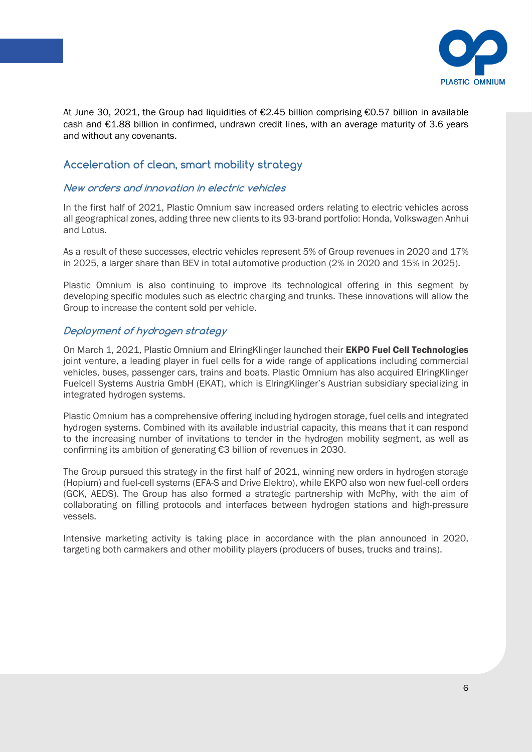

At June 30, 2021, the Group had liquidities of €2.45 billion comprising €0.57 billion in available cash and €1.88 billion in confirmed, undrawn credit lines, with an average maturity of 3.6 years and without any covenants.

# **Acceleration of clean, smart mobility strategy**

#### **New orders and innovation in electric vehicles**

In the first half of 2021, Plastic Omnium saw increased orders relating to electric vehicles across all geographical zones, adding three new clients to its 93-brand portfolio: Honda, Volkswagen Anhui and Lotus.

As a result of these successes, electric vehicles represent 5% of Group revenues in 2020 and 17% in 2025, a larger share than BEV in total automotive production (2% in 2020 and 15% in 2025).

Plastic Omnium is also continuing to improve its technological offering in this segment by developing specific modules such as electric charging and trunks. These innovations will allow the Group to increase the content sold per vehicle.

#### **Deployment of hydrogen strategy**

joint venture, a leading player in fuel cells for a wide range of applications including commercial On March 1, 2021, Plastic Omnium and ElringKlinger launched their **EKPO Fuel Cell Technologies** vehicles, buses, passenger cars, trains and boats. Plastic Omnium has also acquired ElringKlinger Fuelcell Systems Austria GmbH (EKAT), which is ElringKlinger's Austrian subsidiary specializing in integrated hydrogen systems.

Plastic Omnium has a comprehensive offering including hydrogen storage, fuel cells and integrated hydrogen systems. Combined with its available industrial capacity, this means that it can respond to the increasing number of invitations to tender in the hydrogen mobility segment, as well as confirming its ambition of generating €3 billion of revenues in 2030.

The Group pursued this strategy in the first half of 2021, winning new orders in hydrogen storage (Hopium) and fuel-cell systems (EFA-S and Drive Elektro), while EKPO also won new fuel-cell orders (GCK, AEDS). The Group has also formed a strategic partnership with McPhy, with the aim of collaborating on filling protocols and interfaces between hydrogen stations and high-pressure vessels.

Intensive marketing activity is taking place in accordance with the plan announced in 2020, targeting both carmakers and other mobility players (producers of buses, trucks and trains).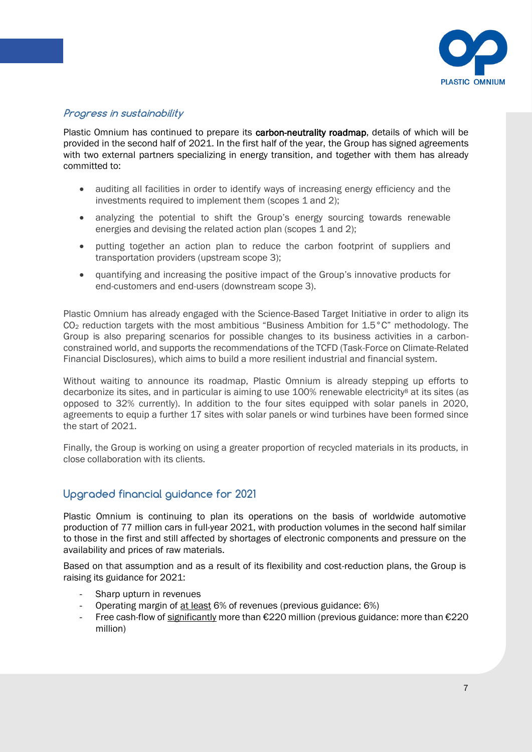

### **Progress in sustainability**

Plastic Omnium has continued to prepare its carbon-neutrality roadmap, details of which will be provided in the second half of 2021. In the first half of the year, the Group has signed agreements with two external partners specializing in energy transition, and together with them has already committed to:

- auditing all facilities in order to identify ways of increasing energy efficiency and the investments required to implement them (scopes 1 and 2);
- analyzing the potential to shift the Group's energy sourcing towards renewable energies and devising the related action plan (scopes 1 and 2);
- putting together an action plan to reduce the carbon footprint of suppliers and transportation providers (upstream scope 3);
- quantifying and increasing the positive impact of the Group's innovative products for end-customers and end-users (downstream scope 3).

Financial Disclosures), which aims to build a more resilient industrial and financial system. Plastic Omnium has already engaged with the Science-Based Target Initiative in order to align its CO<sup>2</sup> reduction targets with the most ambitious "Business Ambition for 1.5°C" methodology. The Group is also preparing scenarios for possible changes to its business activities in a carbonconstrained world, and supports the recommendations of the TCFD (Task-Force on Climate-Related

Without waiting to announce its roadmap, Plastic Omnium is already stepping up efforts to decarbonize its sites, and in particular is aiming to use  $100\%$  renewable electricity<sup>8</sup> at its sites (as opposed to 32% currently). In addition to the four sites equipped with solar panels in 2020, agreements to equip a further 17 sites with solar panels or wind turbines have been formed since the start of 2021.

Finally, the Group is working on using a greater proportion of recycled materials in its products, in close collaboration with its clients.

### **Upgraded financial guidance for 2021**

Plastic Omnium is continuing to plan its operations on the basis of worldwide automotive production of 77 million cars in full-year 2021, with production volumes in the second half similar to those in the first and still affected by shortages of electronic components and pressure on the availability and prices of raw materials.

Based on that assumption and as a result of its flexibility and cost-reduction plans, the Group is raising its guidance for 2021:

- Sharp upturn in revenues
- Operating margin of at least 6% of revenues (previous guidance: 6%)
- Free cash-flow of significantly more than  $\epsilon$ 220 million (previous guidance: more than  $\epsilon$ 220 million)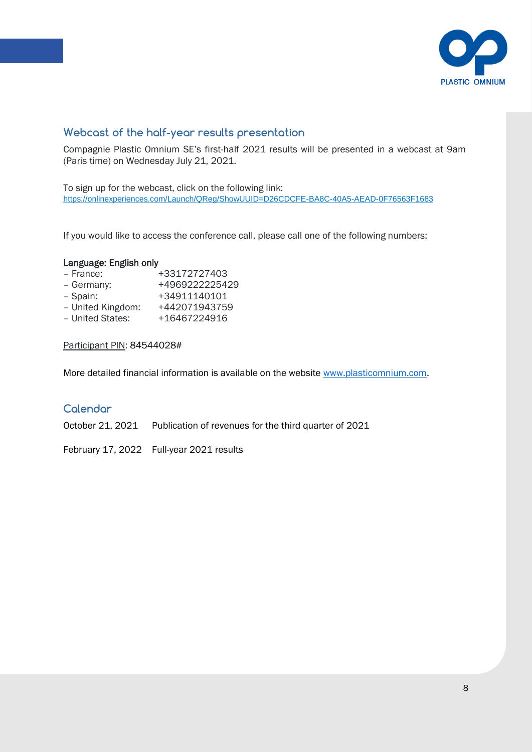

# **Webcast of the half-year results presentation**

Compagnie Plastic Omnium SE's first-half 2021 results will be presented in a webcast at 9am (Paris time) on Wednesday July 21, 2021.

To sign up for the webcast, click on the following link: <https://onlinexperiences.com/Launch/QReg/ShowUUID=D26CDCFE-BA8C-40A5-AEAD-0F76563F1683>

If you would like to access the conference call, please call one of the following numbers:

#### Language: English only

| - France:         | +33172727403   |
|-------------------|----------------|
| - Germany:        | +4969222225429 |
| - Spain:          | +34911140101   |
| - United Kingdom: | +442071943759  |
| - United States:  | +16467224916   |

#### Participant PIN: 84544028#

More detailed financial information is available on the website [www.plasticomnium.com.](http://www.plasticomnium.com/)

### **Calendar**

October 21, 2021 Publication of revenues for the third quarter of 2021

February 17, 2022 Full-year 2021 results